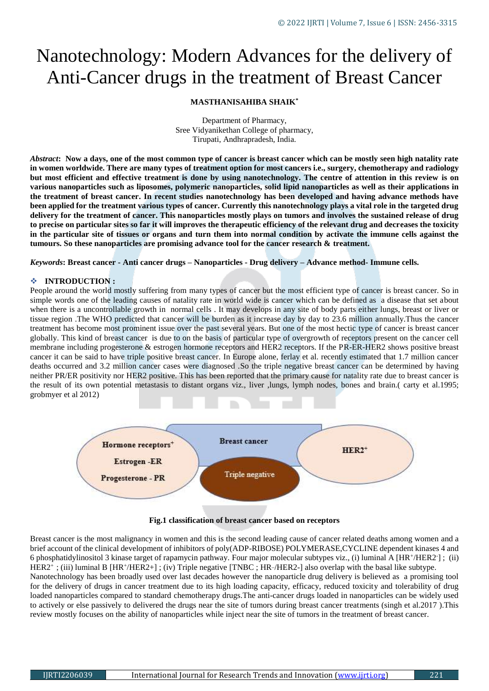# Nanotechnology: Modern Advances for the delivery of Anti-Cancer drugs in the treatment of Breast Cancer

# **MASTHANISAHIBA SHAIK\***

Department of Pharmacy, Sree Vidyanikethan College of pharmacy, Tirupati, Andhrapradesh, India.

*Abstract***: Now a days, one of the most common type of cancer is breast cancer which can be mostly seen high natality rate in women worldwide. There are many types of treatment option for most cancers i.e., surgery, chemotherapy and radiology but most efficient and effective treatment is done by using nanotechnology. The centre of attention in this review is on various nanoparticles such as liposomes, polymeric nanoparticles, solid lipid nanoparticles as well as their applications in the treatment of breast cancer. In recent studies nanotechnology has been developed and having advance methods have been applied for the treatment various types of cancer. Currently this nanotechnology plays a vital role in the targeted drug delivery for the treatment of cancer. This nanoparticles mostly plays on tumors and involves the sustained release of drug to precise on particular sites so far it will improves the therapeutic efficiency of the relevant drug and decreases the toxicity in the particular site of tissues or organs and turn them into normal condition by activate the immune cells against the tumours. So these nanoparticles are promising advance tool for the cancer research & treatment.**

*Keywords***: Breast cancer - Anti cancer drugs – Nanoparticles - Drug delivery – Advance method- Immune cells.**

#### **INTRODUCTION :**

People around the world mostly suffering from many types of cancer but the most efficient type of cancer is breast cancer. So in simple words one of the leading causes of natality rate in world wide is cancer which can be defined as a disease that set about when there is a uncontrollable growth in normal cells . It may develops in any site of body parts either lungs, breast or liver or tissue region .The WHO predicted that cancer will be burden as it increase day by day to 23.6 million annually.Thus the cancer treatment has become most prominent issue over the past several years. But one of the most hectic type of cancer is breast cancer globally. This kind of breast cancer is due to on the basis of particular type of overgrowth of receptors present on the cancer cell membrane including progesterone & estrogen hormone receptors and HER2 receptors. If the PR-ER-HER2 shows positive breast cancer it can be said to have triple positive breast cancer. In Europe alone, ferlay et al. recently estimated that 1.7 million cancer deaths occurred and 3.2 million cancer cases were diagnosed .So the triple negative breast cancer can be determined by having neither PR/ER positivity nor HER2 positive. This has been reported that the primary cause for natality rate due to breast cancer is the result of its own potential metastasis to distant organs viz., liver ,lungs, lymph nodes, bones and brain.( carty et al.1995; grobmyer et al 2012)



**Fig.1 classification of breast cancer based on receptors**

Breast cancer is the most malignancy in women and this is the second leading cause of cancer related deaths among women and a brief account of the clinical development of inhibitors of poly(ADP-RIBOSE) POLYMERASE,CYCLINE dependent kinases 4 and 6 phosphatidylinositol 3 kinase target of rapamycin pathway. Four major molecular subtypes viz., (i) luminal A [HR+/HER2 ]; (ii) HER2<sup>+</sup>; (iii) luminal B [HR<sup>+</sup>/HER2+]; (iv) Triple negative [TNBC; HR-/HER2-] also overlap with the basal like subtype.

Nanotechnology has been broadly used over last decades however the nanoparticle drug delivery is believed as a promising tool for the delivery of drugs in cancer treatment due to its high loading capacity, efficacy, reduced toxicity and tolerability of drug loaded nanoparticles compared to standard chemotherapy drugs.The anti-cancer drugs loaded in nanoparticles can be widely used to actively or else passively to delivered the drugs near the site of tumors during breast cancer treatments (singh et al.2017 ).This review mostly focuses on the ability of nanoparticles while inject near the site of tumors in the treatment of breast cancer.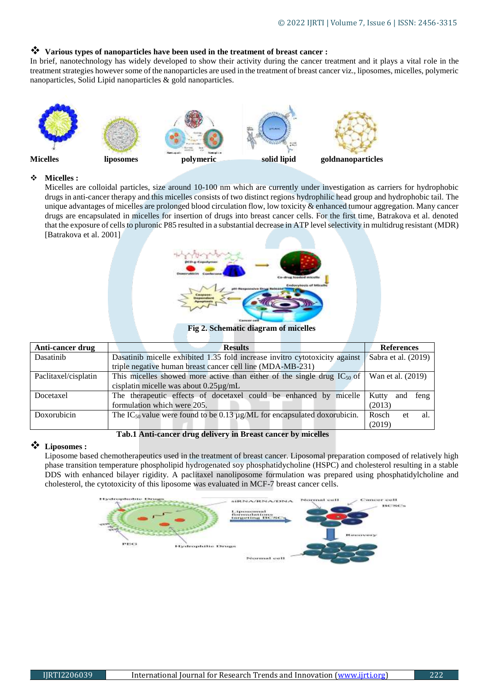# **Various types of nanoparticles have been used in the treatment of breast cancer :**

In brief, nanotechnology has widely developed to show their activity during the cancer treatment and it plays a vital role in the treatment strategies however some of the nanoparticles are used in the treatment of breast cancer viz., liposomes, micelles, polymeric nanoparticles, Solid Lipid nanoparticles & gold nanoparticles.



#### **Micelles :**

Micelles are colloidal particles, size around 10-100 nm which are currently under investigation as carriers for hydrophobic drugs in anti-cancer therapy and this micelles consists of two distinct regions hydrophilic head group and hydrophobic tail. The unique advantages of micelles are prolonged blood circulation flow, low toxicity & enhanced tumour aggregation. Many cancer drugs are encapsulated in micelles for insertion of drugs into breast cancer cells. For the first time, Batrakova et al. denoted that the exposure of cells to pluronic P85 resulted in a substantial decrease in ATP level selectivity in multidrug resistant (MDR) [Batrakova et al. 2001]



**Fig 2. Schematic diagram of micelles**

| Anti-cancer drug     | <b>Results</b>                                                                            | <b>References</b>    |
|----------------------|-------------------------------------------------------------------------------------------|----------------------|
| Dasatinib            | Dasatinib micelle exhibited 1.35 fold increase invitro cytotoxicity against               | Sabra et al. (2019)  |
|                      | triple negative human breast cancer cell line (MDA-MB-231)                                |                      |
| Paclitaxel/cisplatin | This micelles showed more active than either of the single drug $IC_{50}$ of              | Wan et al. (2019)    |
|                      | cisplatin micelle was about $0.25\mu g/mL$                                                |                      |
| Docetaxel            | The therapeutic effects of docetaxel could be enhanced by micelle                         | Kutty<br>feng<br>and |
|                      | formulation which were 205.                                                               | (2013)               |
| Doxorubicin          | The IC <sub>50</sub> value were found to be 0.13 $\mu$ g/ML for encapsulated doxorubicin. | Rosch<br>al.<br>et   |
|                      |                                                                                           | (2019)               |

#### **Tab.1 Anti-cancer drug delivery in Breast cancer by micelles**

# **Liposomes :**

Liposome based chemotherapeutics used in the treatment of breast cancer. Liposomal preparation composed of relatively high phase transition temperature phospholipid hydrogenated soy phosphatidycholine (HSPC) and cholesterol resulting in a stable DDS with enhanced bilayer rigidity. A paclitaxel nanoliposome formulation was prepared using phosphatidylcholine and cholesterol, the cytotoxicity of this liposome was evaluated in MCF-7 breast cancer cells.

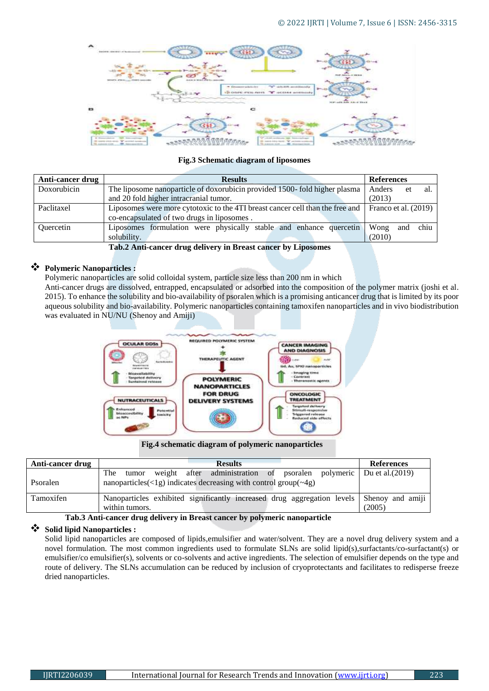

# **Fig.3 Schematic diagram of liposomes**

| Anti-cancer drug                                               | <b>Results</b>                                                                | <b>References</b>    |  |
|----------------------------------------------------------------|-------------------------------------------------------------------------------|----------------------|--|
| Doxorubicin                                                    | The liposome nanoparticle of doxorubicin provided 1500-fold higher plasma     | Anders<br>al.<br>et  |  |
|                                                                | and 20 fold higher intracranial tumor.                                        | (2013)               |  |
| Paclitaxel                                                     | Liposomes were more cytotoxic to the 4TI breast cancer cell than the free and | Franco et al. (2019) |  |
|                                                                | co-encapsulated of two drugs in liposomes.                                    |                      |  |
| <b>Ouercetin</b>                                               | Liposomes formulation were physically stable and enhance quercetin            | chiu<br>Wong<br>and  |  |
|                                                                | solubility.                                                                   | (2010)               |  |
| Tab 2 Anti-canony dung delivery in Ducast canony by Linesaunes |                                                                               |                      |  |

 **Tab.2 Anti-cancer drug delivery in Breast cancer by Liposomes** 

# **Polymeric Nanoparticles :**

Polymeric nanoparticles are solid colloidal system, particle size less than 200 nm in which

Anti-cancer drugs are dissolved, entrapped, encapsulated or adsorbed into the composition of the polymer matrix (joshi et al. 2015). To enhance the solubility and bio-availability of psoralen which is a promising anticancer drug that is limited by its poor aqueous solubility and bio-availability. Polymeric nanoparticles containing tamoxifen nanoparticles and in vivo biodistribution was evaluated in NU/NU (Shenoy and Amiji)



## **Fig.4 schematic diagram of polymeric nanoparticles**

| Anti-cancer drug | <b>Results</b>                                                                                                                                                    | <b>References</b>  |
|------------------|-------------------------------------------------------------------------------------------------------------------------------------------------------------------|--------------------|
| Psoralen         | weight after administration of psoralen<br>The<br>polymeric<br>tumor<br>nanoparticles( $\langle 1g \rangle$ ) indicates decreasing with control group( $\sim$ 4g) | Du et al. $(2019)$ |
| Tamoxifen        | Nanoparticles exhibited significantly increased drug aggregation levels Shenoy and amiji<br>within tumors.                                                        | (2005)             |

## **Tab.3 Anti-cancer drug delivery in Breast cancer by polymeric nanoparticle**

## **Solid lipid Nanoparticles :**

Solid lipid nanoparticles are composed of lipids,emulsifier and water/solvent. They are a novel drug delivery system and a novel formulation. The most common ingredients used to formulate SLNs are solid lipid(s),surfactants/co-surfactant(s) or emulsifier/co emulsifier(s), solvents or co-solvents and active ingredients. The selection of emulsifier depends on the type and route of delivery. The SLNs accumulation can be reduced by inclusion of cryoprotectants and facilitates to redisperse freeze dried nanoparticles.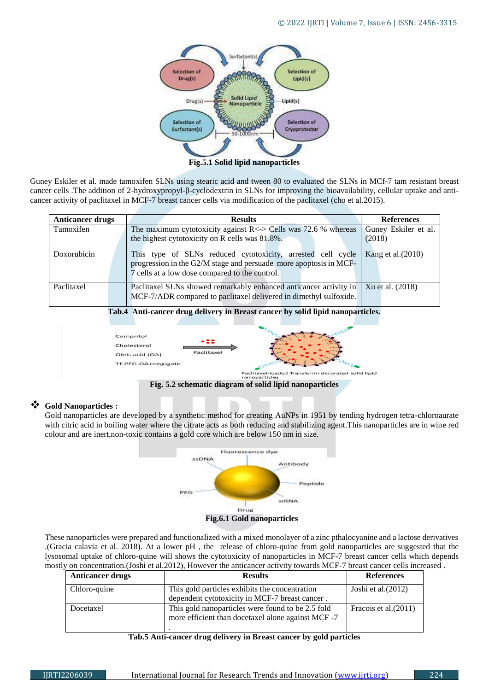

**Fig.5.1 Solid lipid nanoparticles**

Guney Eskiler et al. made tamoxifen SLNs using stearic acid and tween 80 to evaluated the SLNs in MCf-7 tam resistant breast cancer cells .The addition of 2-hydroxypropyl-β-cyclodextrin in SLNs for improving the bioavailability, cellular uptake and anticancer activity of paclitaxel in MCF-7 breast cancer cells via modification of the paclitaxel (cho et al.2015).

| <b>Anticancer drugs</b> |                                                                                | <b>Results</b>                                                      | <b>References</b>    |  |
|-------------------------|--------------------------------------------------------------------------------|---------------------------------------------------------------------|----------------------|--|
| Tamoxifen               |                                                                                | The maximum cytotoxicity against $R \le$ > Cells was 72.6 % whereas | Guney Eskiler et al. |  |
|                         |                                                                                | the highest cytotoxicity on R cells was 81.8%.                      | (2018)               |  |
| Doxorubicin             |                                                                                | This type of SLNs reduced cytotoxicity, arrested cell cycle         | Kang et al. $(2010)$ |  |
|                         |                                                                                | progression in the G2/M stage and persuade more apoptosis in MCF-   |                      |  |
|                         |                                                                                | 7 cells at a low dose compared to the control.                      |                      |  |
| Paclitaxel              |                                                                                | Paclitaxel SLNs showed remarkably enhanced anticancer activity in   | Xu et al. (2018)     |  |
|                         |                                                                                | MCF-7/ADR compared to paclitaxel delivered in dimethyl sulfoxide.   |                      |  |
|                         | Tab.4 Anti-cancer drug delivery in Breast cancer by solid lipid nanoparticles. |                                                                     |                      |  |
|                         |                                                                                |                                                                     |                      |  |
|                         |                                                                                | Compritol                                                           |                      |  |
| Cholesterol             |                                                                                |                                                                     |                      |  |
|                         |                                                                                | Paclitaxel<br>Oleic acid (OA)                                       |                      |  |
|                         |                                                                                | Tf-PEG-OA conjugate                                                 |                      |  |
|                         |                                                                                | axel-loaded Transferrin decorated solid lipid<br>nanoparticles      |                      |  |

**Fig. 5.2 schematic diagram of solid lipid nanoparticles**

# **Gold Nanoparticles :**

Gold nanoparticles are developed by a synthetic method for creating AuNPs in 1951 by tending hydrogen tetra-chloroaurate with citric acid in boiling water where the citrate acts as both reducing and stabilizing agent.This nanoparticles are in wine red colour and are inert,non-toxic contains a gold core which are below 150 nm in size.



These nanoparticles were prepared and functionalized with a mixed monolayer of a zinc pthalocyanine and a lactose derivatives .(Gracia calavia et al. 2018). At a lower pH , the release of chloro-quine from gold nanoparticles are suggested that the lysosomal uptake of chloro-quine will shows the cytotoxicity of nanoparticles in MCF-7 breast cancer cells which depends mostly on concentration.(Joshi et al.2012), However the anticancer activity towards MCF-7 breast cancer cells increased .

| <b>Anticancer drugs</b> | <b>Results</b>                                                                                          | <b>References</b>     |
|-------------------------|---------------------------------------------------------------------------------------------------------|-----------------------|
| Chloro-quine            | This gold particles exhibits the concentration<br>dependent cytotoxicity in MCF-7 breast cancer.        | Joshi et al. $(2012)$ |
| Docetaxel               | This gold nanoparticles were found to be 2.5 fold<br>more efficient than docetaxel alone against MCF -7 | Fracois et al. (2011) |

## **Tab.5 Anti-cancer drug delivery in Breast cancer by gold particles**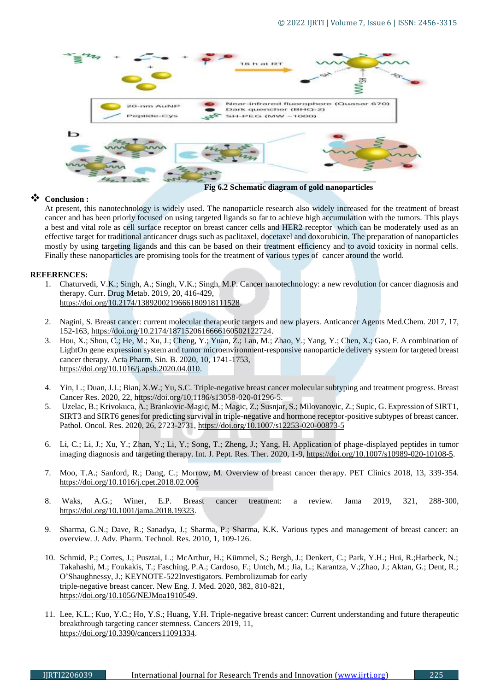

# **Conclusion :**

At present, this nanotechnology is widely used. The nanoparticle research also widely increased for the treatment of breast cancer and has been priorly focused on using targeted ligands so far to achieve high accumulation with the tumors. This plays a best and vital role as cell surface receptor on breast cancer cells and HER2 receptor which can be moderately used as an effective target for traditional anticancer drugs such as paclitaxel, docetaxel and doxorubicin. The preparation of nanoparticles mostly by using targeting ligands and this can be based on their treatment efficiency and to avoid toxicity in normal cells. Finally these nanoparticles are promising tools for the treatment of various types of cancer around the world.

# **REFERENCES:**

- 1. Chaturvedi, V.K.; Singh, A.; Singh, V.K.; Singh, M.P. Cancer nanotechnology: a new revolution for cancer diagnosis and therapy. Curr. Drug Metab. 2019, 20, 416-429, [https://doi.org/10.2174/1389200219666180918111528.](https://doi.org/10.2174/1389200219666180918111528)
- 2. Nagini, S. Breast cancer: current molecular therapeutic targets and new players. Anticancer Agents Med.Chem. 2017, 17, 152-163, [https://doi.org/10.2174/1871520616666160502122724.](https://doi.org/10.2174/1871520616666160502122724)
- 3. Hou, X.; Shou, C.; He, M.; Xu, J.; Cheng, Y.; Yuan, Z.; Lan, M.; Zhao, Y.; Yang, Y.; Chen, X.; Gao, F. A combination of LightOn gene expression system and tumor microenvironment-responsive nanoparticle delivery system for targeted breast cancer therapy. Acta Pharm. Sin. B. 2020, 10, 1741-1753, [https://doi.org/10.1016/j.apsb.2020.04.010.](https://doi.org/10.1016/j.apsb.2020.04.010)
- 4. Yin, L.; Duan, J.J.; Bian, X.W.; Yu, S.C. Triple-negative breast cancer molecular subtyping and treatment progress. Breast Cancer Res. 2020, 22[, https://doi.org/10.1186/s13058-020-01296-5.](https://doi.org/10.1186/s13058-020-01296-5)
- 5. Uzelac, B.; Krivokuca, A.; Brankovic-Magic, M.; Magic, Z.; Susnjar, S.; Milovanovic, Z.; Supic, G. Expression of SIRT1, SIRT3 and SIRT6 genes for predicting survival in triple-negative and hormone receptor-positive subtypes of breast cancer. Pathol. Oncol. Res. 2020, 26, 2723-2731,<https://doi.org/10.1007/s12253-020-00873-5>
- 6. Li, C.; Li, J.; Xu, Y.; Zhan, Y.; Li, Y.; Song, T.; Zheng, J.; Yang, H. Application of phage-displayed peptides in tumor imaging diagnosis and targeting therapy. Int. J. Pept. Res. Ther. 2020, 1-9, [https://doi.org/10.1007/s10989-020-10108-5.](https://doi.org/10.1007/s10989-020-10108-5)
- 7. Moo, T.A.; Sanford, R.; Dang, C.; Morrow, M. Overview of breast cancer therapy. PET Clinics 2018, 13, 339-354. <https://doi.org/10.1016/j.cpet.2018.02.006>
- 8. Waks, A.G.; Winer, E.P. Breast cancer treatment: a review. Jama 2019, 321, 288-300, [https://doi.org/10.1001/jama.2018.19323.](https://doi.org/10.1001/jama.2018.19323)
- 9. Sharma, G.N.; Dave, R.; Sanadya, J.; Sharma, P.; Sharma, K.K. Various types and management of breast cancer: an overview. J. Adv. Pharm. Technol. Res. 2010, 1, 109-126.
- 10. Schmid, P.; Cortes, J.; Pusztai, L.; McArthur, H.; Kümmel, S.; Bergh, J.; Denkert, C.; Park, Y.H.; Hui, R.;Harbeck, N.; Takahashi, M.; Foukakis, T.; Fasching, P.A.; Cardoso, F.; Untch, M.; Jia, L.; Karantza, V.;Zhao, J.; Aktan, G.; Dent, R.; O'Shaughnessy, J.; KEYNOTE-522Investigators. Pembrolizumab for early triple-negative breast cancer. New Eng. J. Med. 2020, 382, 810-821, [https://doi.org/10.1056/NEJMoa1910549.](https://doi.org/10.1056/NEJMoa1910549)
- 11. Lee, K.L.; Kuo, Y.C.; Ho, Y.S.; Huang, Y.H. Triple-negative breast cancer: Current understanding and future therapeutic breakthrough targeting cancer stemness. Cancers 2019, 11, [https://doi.org/10.3390/cancers11091334.](https://doi.org/10.3390/cancers11091334)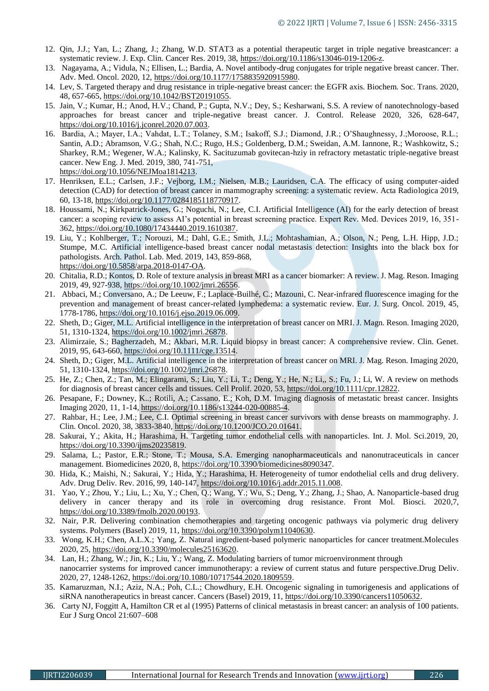- 12. Qin, J.J.; Yan, L.; Zhang, J.; Zhang, W.D. STAT3 as a potential therapeutic target in triple negative breastcancer: a systematic review. J. Exp. Clin. Cancer Res. 2019, 38, [https://doi.org/10.1186/s13046-019-1206-z.](https://doi.org/10.1186/s13046-019-1206-z)
- 13. Nagayama, A.; Vidula, N.; Ellisen, L.; Bardia, A. Novel antibody-drug conjugates for triple negative breast cancer. Ther. Adv. Med. Oncol. 2020, 12[, https://doi.org/10.1177/1758835920915980.](https://doi.org/10.1177/1758835920915980)
- 14. Lev, S. Targeted therapy and drug resistance in triple-negative breast cancer: the EGFR axis. Biochem. Soc. Trans. 2020, 48, 657-665, [https://doi.org/10.1042/BST20191055.](https://doi.org/10.1042/BST20191055)
- 15. Jain, V.; Kumar, H.; Anod, H.V.; Chand, P.; Gupta, N.V.; Dey, S.; Kesharwani, S.S. A review of nanotechnology-based approaches for breast cancer and triple-negative breast cancer. J. Control. Release 2020, 326, 628-647, [https://doi.org/10.1016/j.jconrel.2020.07.003.](https://doi.org/10.1016/j.jconrel.2020.07.003)
- 16. Bardia, A.; Mayer, I.A.; Vahdat, L.T.; Tolaney, S.M.; Isakoff, S.J.; Diamond, J.R.; O'Shaughnessy, J.;Moroose, R.L.; Santin, A.D.; Abramson, V.G.; Shah, N.C.; Rugo, H.S.; Goldenberg, D.M.; Sweidan, A.M. Iannone, R.; Washkowitz, S.; Sharkey, R.M.; Wegener, W.A.; Kalinsky, K. Sacituzumab govitecan-hziy in refractory metastatic triple-negative breast cancer. New Eng. J. Med. 2019, 380, 741-751, [https://doi.org/10.1056/NEJMoa1814213.](https://doi.org/10.1056/NEJMoa1814213)
- 17. Henriksen, E.L.; Carlsen, J.F.; Vejborg, I.M.; Nielsen, M.B.; Lauridsen, C.A. The efficacy of using computer-aided detection (CAD) for detection of breast cancer in mammography screening: a systematic review. Acta Radiologica 2019, 60, 13-18, [https://doi.org/10.1177/0284185118770917.](https://doi.org/10.1177/0284185118770917)
- 18. Houssami, N.; Kirkpatrick-Jones, G.; Noguchi, N.; Lee, C.I. Artificial Intelligence (AI) for the early detection of breast cancer: a scoping review to assess AI's potential in breast screening practice. Expert Rev. Med. Devices 2019, 16, 351- 362[, https://doi.org/10.1080/17434440.2019.1610387.](https://doi.org/10.1080/17434440.2019.1610387)
- 19. Liu, Y.; Kohlberger, T.; Norouzi, M.; Dahl, G.E.; Smith, J.L.; Mohtashamian, A.; Olson, N.; Peng, L.H. Hipp, J.D.; Stumpe, M.C. Artificial intelligence-based breast cancer nodal metastasis detection: Insights into the black box for pathologists. Arch. Pathol. Lab. Med. 2019, 143, 859-868, [https://doi.org/10.5858/arpa.2018-0147-OA.](https://doi.org/10.5858/arpa.2018-0147-OA)
- 20. Chitalia, R.D.; Kontos, D. Role of texture analysis in breast MRI as a cancer biomarker: A review. J. Mag. Reson. Imaging 2019, 49, 927-938, [https://doi.org/10.1002/jmri.26556.](https://doi.org/10.1002/jmri.26556)
- 21. Abbaci, M.; Conversano, A.; De Leeuw, F.; Laplace-Builhé, C.; Mazouni, C. Near-infrared fluorescence imaging for the prevention and management of breast cancer-related lymphedema: a systematic review. Eur. J. Surg. Oncol. 2019, 45, 1778-1786, [https://doi.org/10.1016/j.ejso.2019.06.009.](https://doi.org/10.1016/j.ejso.2019.06.009)
- 22. Sheth, D.; Giger, M.L. Artificial intelligence in the interpretation of breast cancer on MRI. J. Magn. Reson. Imaging 2020, 51, 1310-1324, [https://doi.org/10.1002/jmri.26878.](https://doi.org/10.1002/jmri.26878)
- 23. Alimirzaie, S.; Bagherzadeh, M.; Akbari, M.R. Liquid biopsy in breast cancer: A comprehensive review. Clin. Genet. 2019, 95, 643-660, [https://doi.org/10.1111/cge.13514.](https://doi.org/10.1111/cge.13514)
- 24. Sheth, D.; Giger, M.L. Artificial intelligence in the interpretation of breast cancer on MRI. J. Mag. Reson. Imaging 2020, 51, 1310-1324, [https://doi.org/10.1002/jmri.26878.](https://doi.org/10.1002/jmri.26878)
- 25. He, Z.; Chen, Z.; Tan, M.; Elingarami, S.; Liu, Y.; Li, T.; Deng, Y.; He, N.; Li,, S.; Fu, J.; Li, W. A review on methods for diagnosis of breast cancer cells and tissues. Cell Prolif. 2020, 53[, https://doi.org/10.1111/cpr.12822.](https://doi.org/10.1111/cpr.12822)
- 26. Pesapane, F.; Downey, K..; Rotili, A.; Cassano, E.; Koh, D.M. Imaging diagnosis of metastatic breast cancer. Insights Imaging 2020, 11, 1-14, [https://doi.org/10.1186/s13244-020-00885-4.](https://doi.org/10.1186/s13244-020-00885-4)
- 27. Rahbar, H.; Lee, J.M.; Lee, C.I. Optimal screening in breast cancer survivors with dense breasts on mammography. J. Clin. Oncol. 2020, 38, 3833-3840[, https://doi.org/10.1200/JCO.20.01641.](https://doi.org/10.1200/JCO.20.01641)
- 28. Sakurai, Y.; Akita, H.; Harashima, H. Targeting tumor endothelial cells with nanoparticles. Int. J. Mol. Sci.2019, 20, [https://doi.org/10.3390/ijms20235819.](https://doi.org/10.3390/ijms20235819)
- 29. Salama, L.; Pastor, E.R.; Stone, T.; Mousa, S.A. Emerging nanopharmaceuticals and nanonutraceuticals in cancer management. Biomedicines 2020, 8, [https://doi.org/10.3390/biomedicines8090347.](https://doi.org/10.3390/biomedicines8090347)
- 30. Hida, K.; Maishi, N.; Sakurai, Y.; Hida, Y.; Harashima, H. Heterogeneity of tumor endothelial cells and drug delivery. Adv. Drug Deliv. Rev. 2016, 99, 140-147[, https://doi.org/10.1016/j.addr.2015.11.008.](https://doi.org/10.1016/j.addr.2015.11.008)
- 31. Yao, Y.; Zhou, Y.; Liu, L.; Xu, Y.; Chen, Q.; Wang, Y.; Wu, S.; Deng, Y.; Zhang, J.; Shao, A. Nanoparticle-based drug delivery in cancer therapy and its role in overcoming drug resistance. Front Mol. Biosci. 2020,7, [https://doi.org/10.3389/fmolb.2020.00193.](https://doi.org/10.3389/fmolb.2020.00193)
- 32. Nair, P.R. Delivering combination chemotherapies and targeting oncogenic pathways via polymeric drug delivery systems. Polymers (Basel) 2019, 11, [https://doi.org/10.3390/polym11040630.](https://doi.org/10.3390/polym11040630)
- 33. Wong, K.H.; Chen, A.L.X.; Yang, Z. Natural ingredient-based polymeric nanoparticles for cancer treatment.Molecules 2020, 25[, https://doi.org/10.3390/molecules25163620.](https://doi.org/10.3390/molecules25163620)
- 34. Lan, H.; Zhang, W.; Jin, K.; Liu, Y.; Wang, Z. Modulating barriers of tumor microenvironment through nanocarrier systems for improved cancer immunotherapy: a review of current status and future perspective.Drug Deliv. 2020, 27, 1248-1262, [https://doi.org/10.1080/10717544.2020.1809559.](https://doi.org/10.1080/10717544.2020.1809559)
- 35. Kamaruzman, N.I.; Aziz, N.A.; Poh, C.L.; Chowdhury, E.H. Oncogenic signaling in tumorigenesis and applications of siRNA nanotherapeutics in breast cancer. Cancers (Basel) 2019, 11, [https://doi.org/10.3390/cancers11050632.](https://doi.org/10.3390/cancers11050632)
- 36. Carty NJ, Foggitt A, Hamilton CR et al (1995) Patterns of clinical metastasis in breast cancer: an analysis of 100 patients. Eur J Surg Oncol 21:607–608